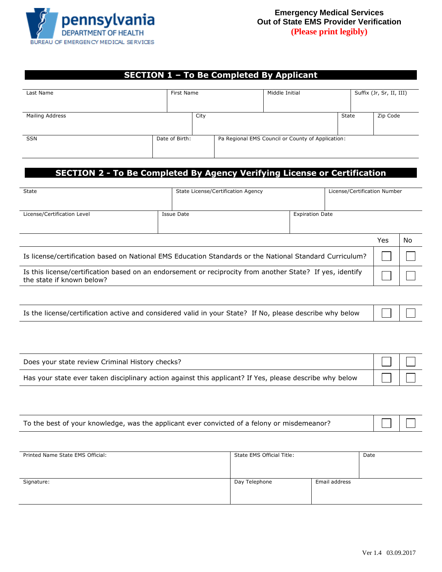

## **SECTION 1 – To Be Completed By Applicant**

| Last Name       | First Name     |      | Middle Initial |                                                   | Suffix (Jr, Sr, II, III) |  |          |
|-----------------|----------------|------|----------------|---------------------------------------------------|--------------------------|--|----------|
| Mailing Address |                | City |                |                                                   | State                    |  | Zip Code |
| SSN             | Date of Birth: |      |                | Pa Regional EMS Council or County of Application: |                          |  |          |

## **SECTION 2 - To Be Completed By Agency Verifying License or Certification**

| State                                                                                                                                  | State License/Certification Agency |                        | License/Certification Number |     |    |
|----------------------------------------------------------------------------------------------------------------------------------------|------------------------------------|------------------------|------------------------------|-----|----|
| License/Certification Level                                                                                                            | Issue Date                         | <b>Expiration Date</b> |                              |     |    |
|                                                                                                                                        |                                    |                        |                              |     |    |
|                                                                                                                                        |                                    |                        |                              | Yes | No |
| Is license/certification based on National EMS Education Standards or the National Standard Curriculum?                                |                                    |                        |                              |     |    |
| Is this license/certification based on an endorsement or reciprocity from another State? If yes, identify<br>the state if known below? |                                    |                        |                              |     |    |

| Is the license/certification active and considered valid in your State? If No, please describe why below $\Box$ |  |  |
|-----------------------------------------------------------------------------------------------------------------|--|--|
|-----------------------------------------------------------------------------------------------------------------|--|--|

| Does your state review Criminal History checks?                                                         |  |
|---------------------------------------------------------------------------------------------------------|--|
| Has your state ever taken disciplinary action against this applicant? If Yes, please describe why below |  |

| $\begin{array}{c c c c c} \hline \quad \text{ } & \text{ } & \text{ } \\ \hline \end{array}$<br>To the best of your knowledge, was the applicant ever convicted of a felony or misdemeanor? |  |  |  |
|---------------------------------------------------------------------------------------------------------------------------------------------------------------------------------------------|--|--|--|
|---------------------------------------------------------------------------------------------------------------------------------------------------------------------------------------------|--|--|--|

| Printed Name State EMS Official: | State EMS Official Title: |               | Date |
|----------------------------------|---------------------------|---------------|------|
| Signature:                       | Day Telephone             | Email address |      |